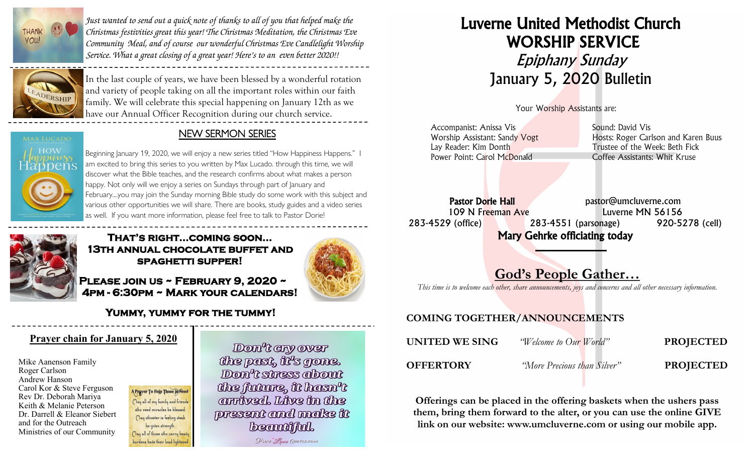

*Just wanted to send out a quick note of thanks to all of you that helped make the Christmas festivities great this year! The Christmas Meditation, the Christmas Eve Community Meal, and of course our wonderful Christmas Eve Candlelight Worship Service. What a great closing of a great year! Here's to an even better 2020!!*



In the last couple of years, we have been blessed by a wonderful rotation and variety of people taking on all the important roles within our faith family. We will celebrate this special happening on January 12th as we have our Annual Officer Recognition during our church service.

### NEW SERMON SERIES

Beginning January 19, 2020, we will enjoy a new series titled "How Happiness Happens." I am excited to bring this series to you written by Max Lucado. through this time, we will discover what the Bible teaches, and the research confirms about what makes a person happy. Not only will we enjoy a series on Sundays through part of January and February....you may join the Sunday morning Bible study do some work with this subject and various other opportunities we will share. There are books, study guides and a video series as well. If you want more information, please feel free to talk to Pastor Dorie!



## **That's right...coming soon… 13th annual chocolate buffet and spaghetti supper!**

**Please join us ~ February 9, 2020 ~ 4pm - 6:30pm ~ Mark your calendars!** 

# **Yummy, yummy for the tummy!**

## **Prayer chain for January 5, 2020**

Mike Aanenson Family Roger Carlson Andrew Hanson Carol Kor & Steve Ferguson Rev Dr. Deborah Mariya Keith & Melanie Peterson Dr. Darrell & Eleanor Siebert and for the Outreach Ministries of our Community

A Prayer To Help Those In Need May all of my family and friends who need miracles be blessed. (lay whoever is feeling weak be given strength. May all of those who carry heady burdens have their load lightene

Don't any over the past, it's gone. Don't stress about the future, it hasn't amiwed, Live in the present and make it **beautiful.** Pure Love Quotes.com

# Luverne United Methodist Church WORSHIP SERVICE Epiphany Sunday January 5, 2020 Bulletin

Your Worship Assistants are:

| Accompanist: Anissa Vis       | Sound: David Vis                    |
|-------------------------------|-------------------------------------|
| Worship Assistant: Sandy Vogt | Hosts: Roger Carlson and Karen Buus |
| Lay Reader: Kim Donth         | Trustee of the Week: Beth Fick      |
| Power Point: Carol McDonald   | Coffee Assistants: Whit Kruse       |
|                               |                                     |

Pastor Dorie Hall expression bastor@umcluverne.com 109 N Freeman Ave Luverne MN 56156 283-4529 (office) 283-4551 (parsonage) 920-5278 (cell) Mary Gehrke officiating today

# God's People Gather…

*This time is to welcome each other, share announcements, joys and concerns and all other necessary information.*

# COMING TOGETHER/ANNOUNCEMENTS

| UNITED WE SING   | <i>"Welcome to Our World"</i> | <b>PROJECTED</b> |
|------------------|-------------------------------|------------------|
| <b>OFFERTORY</b> | "More Precious than Silver"   | <b>PROJECTED</b> |

Offerings can be placed in the offering baskets when the ushers pass them, bring them forward to the alter, or you can use the online GIVE link on our website: www.umcluverne.com or using our mobile app.